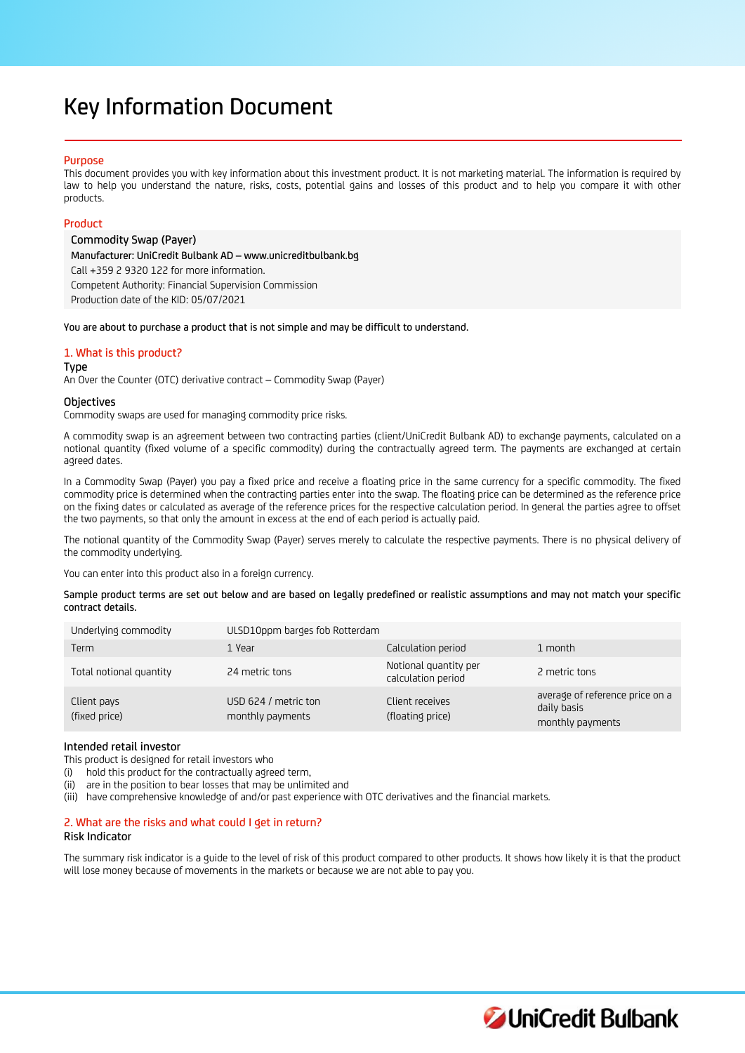# Key Information Document

## Purpose

This document provides you with key information about this investment product. It is not marketing material. The information is required by law to help you understand the nature, risks, costs, potential gains and losses of this product and to help you compare it with other products.

# Product

Commodity Swap (Payer) Manufacturer: UniCredit Bulbank AD – www.unicreditbulbank.bg Call +359 2 9320 122 for more information. Competent Authority: Financial Supervision Commission Production date of the KID: 05/07/2021

You are about to purchase a product that is not simple and may be difficult to understand.

# 1. What is this product?

### Type

An Over the Counter (OTC) derivative contract – Commodity Swap (Payer)

## **Objectives**

Commodity swaps are used for managing commodity price risks.

A commodity swap is an agreement between two contracting parties (client/UniCredit Bulbank AD) to exchange payments, calculated on a notional quantity (fixed volume of a specific commodity) during the contractually agreed term. The payments are exchanged at certain agreed dates.

In a Commodity Swap (Payer) you pay a fixed price and receive a floating price in the same currency for a specific commodity. The fixed commodity price is determined when the contracting parties enter into the swap. The floating price can be determined as the reference price on the fixing dates or calculated as average of the reference prices for the respective calculation period. In general the parties agree to offset the two payments, so that only the amount in excess at the end of each period is actually paid.

The notional quantity of the Commodity Swap (Payer) serves merely to calculate the respective payments. There is no physical delivery of the commodity underlying.

You can enter into this product also in a foreign currency.

Sample product terms are set out below and are based on legally predefined or realistic assumptions and may not match your specific contract details.

| Underlying commodity         | ULSD10ppm barges fob Rotterdam           |                                             |                                                                    |
|------------------------------|------------------------------------------|---------------------------------------------|--------------------------------------------------------------------|
| Term                         | 1 Year                                   | Calculation period                          | 1 month                                                            |
| Total notional quantity      | 24 metric tons                           | Notional quantity per<br>calculation period | 2 metric tons                                                      |
| Client pays<br>(fixed price) | USD 624 / metric ton<br>monthly payments | Client receives<br>(floating price)         | average of reference price on a<br>daily basis<br>monthly payments |

# Intended retail investor

This product is designed for retail investors who

(i) hold this product for the contractually agreed term,

(ii) are in the position to bear losses that may be unlimited and

(iii) have comprehensive knowledge of and/or past experience with OTC derivatives and the financial markets.

# 2. What are the risks and what could I get in return?

## Risk Indicator

The summary risk indicator is a guide to the level of risk of this product compared to other products. It shows how likely it is that the product will lose money because of movements in the markets or because we are not able to pay you.

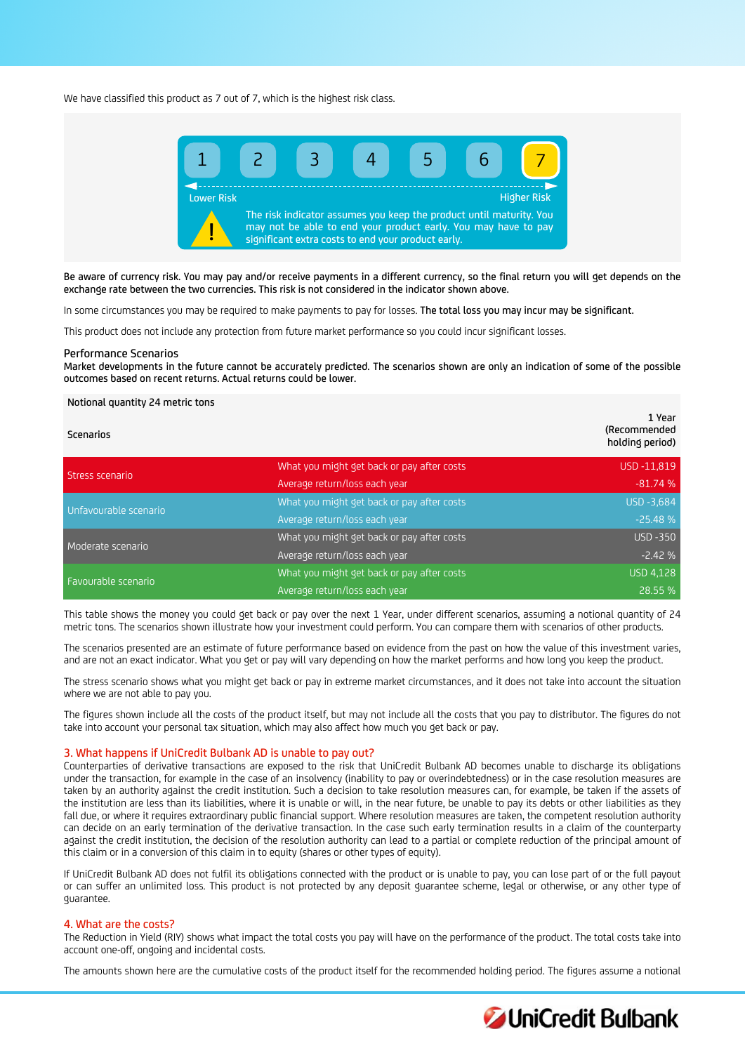We have classified this product as 7 out of 7, which is the highest risk class.



Be aware of currency risk. You may pay and/or receive payments in a different currency, so the final return you will get depends on the exchange rate between the two currencies. This risk is not considered in the indicator shown above.

In some circumstances you may be required to make payments to pay for losses. The total loss you may incur may be significant.

This product does not include any protection from future market performance so you could incur significant losses.

#### Performance Scenarios

Market developments in the future cannot be accurately predicted. The scenarios shown are only an indication of some of the possible outcomes based on recent returns. Actual returns could be lower.

#### Notional quantity 24 metric tons

| <b>Scenarios</b>      |                                            | 1 Year<br>(Recommended<br>holding period) |
|-----------------------|--------------------------------------------|-------------------------------------------|
| Stress scenario       | What you might get back or pay after costs | USD -11,819                               |
|                       | Average return/loss each year              | $-81.74%$                                 |
| Unfavourable scenario | What you might get back or pay after costs | USD -3,684                                |
|                       | Average return/loss each year              | $-25.48%$                                 |
| Moderate scenario     | What you might get back or pay after costs | <b>USD-350</b>                            |
|                       | Average return/loss each year              | $-2.42%$                                  |
| Favourable scenario   | What you might get back or pay after costs | <b>USD 4,128</b>                          |
|                       | Average return/loss each year              | 28.55 %                                   |

This table shows the money you could get back or pay over the next 1 Year, under different scenarios, assuming a notional quantity of 24 metric tons. The scenarios shown illustrate how your investment could perform. You can compare them with scenarios of other products.

The scenarios presented are an estimate of future performance based on evidence from the past on how the value of this investment varies, and are not an exact indicator. What you get or pay will vary depending on how the market performs and how long you keep the product.

The stress scenario shows what you might get back or pay in extreme market circumstances, and it does not take into account the situation where we are not able to pay you.

The figures shown include all the costs of the product itself, but may not include all the costs that you pay to distributor. The figures do not take into account your personal tax situation, which may also affect how much you get back or pay.

#### 3. What happens if UniCredit Bulbank AD is unable to pay out?

Counterparties of derivative transactions are exposed to the risk that UniCredit Bulbank AD becomes unable to discharge its obligations under the transaction, for example in the case of an insolvency (inability to pay or overindebtedness) or in the case resolution measures are taken by an authority against the credit institution. Such a decision to take resolution measures can, for example, be taken if the assets of the institution are less than its liabilities, where it is unable or will, in the near future, be unable to pay its debts or other liabilities as they fall due, or where it requires extraordinary public financial support. Where resolution measures are taken, the competent resolution authority can decide on an early termination of the derivative transaction. In the case such early termination results in a claim of the counterparty against the credit institution, the decision of the resolution authority can lead to a partial or complete reduction of the principal amount of this claim or in a conversion of this claim in to equity (shares or other types of equity).

If UniCredit Bulbank AD does not fulfil its obligations connected with the product or is unable to pay, you can lose part of or the full payout or can suffer an unlimited loss. This product is not protected by any deposit guarantee scheme, legal or otherwise, or any other type of guarantee.

# 4. What are the costs?

The Reduction in Yield (RIY) shows what impact the total costs you pay will have on the performance of the product. The total costs take into account one-off, ongoing and incidental costs.

The amounts shown here are the cumulative costs of the product itself for the recommended holding period. The figures assume a notional